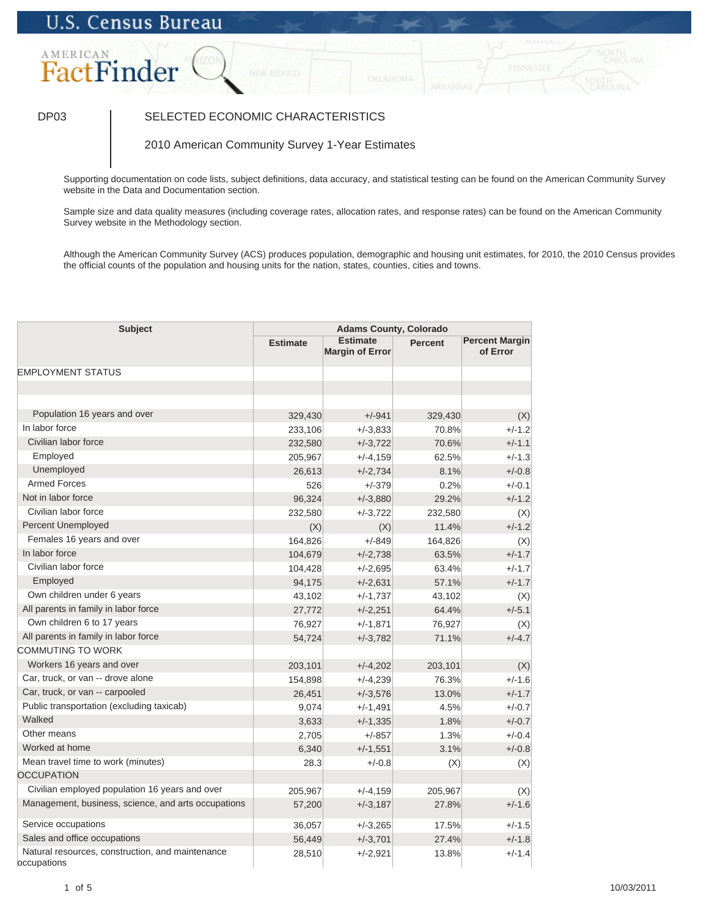# **U.S. Census Bureau**

## AMERICAN FactFinder

### DP03 SELECTED ECONOMIC CHARACTERISTICS

2010 American Community Survey 1-Year Estimates

Supporting documentation on code lists, subject definitions, data accuracy, and statistical testing can be found on the American Community Survey website in the Data and Documentation section.

Sample size and data quality measures (including coverage rates, allocation rates, and response rates) can be found on the American Community Survey website in the Methodology section.

Although the American Community Survey (ACS) produces population, demographic and housing unit estimates, for 2010, the 2010 Census provides the official counts of the population and housing units for the nation, states, counties, cities and towns.

| <b>Subject</b>                                                  | <b>Adams County, Colorado</b> |                                           |                |                                   |
|-----------------------------------------------------------------|-------------------------------|-------------------------------------------|----------------|-----------------------------------|
|                                                                 | <b>Estimate</b>               | <b>Estimate</b><br><b>Margin of Error</b> | <b>Percent</b> | <b>Percent Margin</b><br>of Error |
| <b>EMPLOYMENT STATUS</b>                                        |                               |                                           |                |                                   |
|                                                                 |                               |                                           |                |                                   |
|                                                                 |                               |                                           |                |                                   |
| Population 16 years and over                                    | 329,430                       | $+/-941$                                  | 329,430        | (X)                               |
| In labor force                                                  | 233,106                       | $+/-3,833$                                | 70.8%          | $+/-1.2$                          |
| Civilian labor force                                            | 232,580                       | $+/-3,722$                                | 70.6%          | $+/-1.1$                          |
| Employed                                                        | 205,967                       | $+/-4,159$                                | 62.5%          | $+/-1.3$                          |
| Unemployed                                                      | 26,613                        | $+/-2,734$                                | 8.1%           | $+/-0.8$                          |
| <b>Armed Forces</b>                                             | 526                           | $+/-379$                                  | 0.2%           | $+/-0.1$                          |
| Not in labor force                                              | 96,324                        | $+/-3,880$                                | 29.2%          | $+/-1.2$                          |
| Civilian labor force                                            | 232,580                       | $+/-3,722$                                | 232,580        | (X)                               |
| Percent Unemployed                                              | (X)                           | (X)                                       | 11.4%          | $+/-1.2$                          |
| Females 16 years and over                                       | 164,826                       | $+/-849$                                  | 164,826        | (X)                               |
| In labor force                                                  | 104,679                       | $+/-2,738$                                | 63.5%          | $+/-1.7$                          |
| Civilian labor force                                            | 104,428                       | $+/-2,695$                                | 63.4%          | $+/-1.7$                          |
| Employed                                                        | 94,175                        | $+/-2,631$                                | 57.1%          | $+/-1.7$                          |
| Own children under 6 years                                      | 43,102                        | $+/-1,737$                                | 43,102         | (X)                               |
| All parents in family in labor force                            | 27,772                        | $+/-2,251$                                | 64.4%          | $+/-5.1$                          |
| Own children 6 to 17 years                                      | 76,927                        | $+/-1,871$                                | 76,927         | (X)                               |
| All parents in family in labor force                            | 54,724                        | $+/-3,782$                                | 71.1%          | $+/-4.7$                          |
| <b>COMMUTING TO WORK</b>                                        |                               |                                           |                |                                   |
| Workers 16 years and over                                       | 203,101                       | $+/-4,202$                                | 203,101        | (X)                               |
| Car, truck, or van -- drove alone                               | 154,898                       | $+/-4,239$                                | 76.3%          | $+/-1.6$                          |
| Car, truck, or van -- carpooled                                 | 26,451                        | $+/-3,576$                                | 13.0%          | $+/-1.7$                          |
| Public transportation (excluding taxicab)                       | 9,074                         | $+/-1,491$                                | 4.5%           | $+/-0.7$                          |
| Walked                                                          | 3,633                         | $+/-1,335$                                | 1.8%           | $+/-0.7$                          |
| Other means                                                     | 2,705                         | $+/-857$                                  | 1.3%           | $+/-0.4$                          |
| Worked at home                                                  | 6,340                         | $+/-1,551$                                | 3.1%           | $+/-0.8$                          |
| Mean travel time to work (minutes)                              | 28.3                          | $+/-0.8$                                  | (X)            | (X)                               |
| <b>OCCUPATION</b>                                               |                               |                                           |                |                                   |
| Civilian employed population 16 years and over                  | 205,967                       | $+/-4,159$                                | 205,967        | (X)                               |
| Management, business, science, and arts occupations             | 57,200                        | $+/-3,187$                                | 27.8%          | $+/-1.6$                          |
| Service occupations                                             | 36,057                        | $+/-3,265$                                | 17.5%          | $+/-1.5$                          |
| Sales and office occupations                                    | 56,449                        | $+/-3,701$                                | 27.4%          | $+/-1.8$                          |
| Natural resources, construction, and maintenance<br>occupations | 28,510                        | $+/-2,921$                                | 13.8%          | $+/-1.4$                          |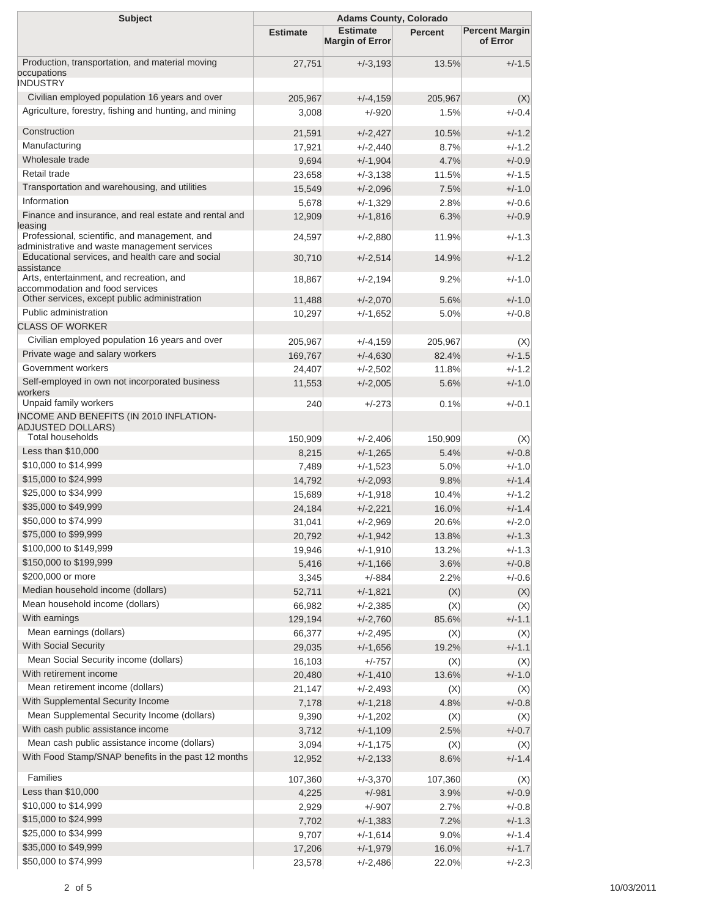| <b>Subject</b>                                                                                |                 | <b>Adams County, Colorado</b>             |         |                                   |
|-----------------------------------------------------------------------------------------------|-----------------|-------------------------------------------|---------|-----------------------------------|
|                                                                                               | <b>Estimate</b> | <b>Estimate</b><br><b>Margin of Error</b> | Percent | <b>Percent Margin</b><br>of Error |
| Production, transportation, and material moving<br>occupations                                | 27,751          | $+/-3,193$                                | 13.5%   | $+/-1.5$                          |
| <b>INDUSTRY</b>                                                                               |                 |                                           |         |                                   |
| Civilian employed population 16 years and over                                                | 205,967         | $+/-4,159$                                | 205,967 | (X)                               |
| Agriculture, forestry, fishing and hunting, and mining                                        | 3,008           | $+/-920$                                  | 1.5%    | $+/-0.4$                          |
| Construction                                                                                  | 21,591          | $+/-2,427$                                | 10.5%   | $+/-1.2$                          |
| Manufacturing                                                                                 | 17,921          | $+/-2,440$                                | 8.7%    | $+/-1.2$                          |
| Wholesale trade                                                                               | 9,694           | $+/-1,904$                                | 4.7%    | $+/-0.9$                          |
| Retail trade                                                                                  | 23,658          | $+/-3,138$                                | 11.5%   | $+/-1.5$                          |
| Transportation and warehousing, and utilities                                                 | 15,549          | $+/-2,096$                                | 7.5%    | $+/-1.0$                          |
| Information                                                                                   | 5,678           | $+/-1,329$                                | 2.8%    | $+/-0.6$                          |
| Finance and insurance, and real estate and rental and<br>leasing                              | 12,909          | $+/-1,816$                                | 6.3%    | $+/-0.9$                          |
| Professional, scientific, and management, and<br>administrative and waste management services | 24,597          | $+/-2,880$                                | 11.9%   | $+/-1.3$                          |
| Educational services, and health care and social                                              | 30,710          | $+/-2,514$                                | 14.9%   | $+/-1.2$                          |
| assistance<br>Arts, entertainment, and recreation, and<br>accommodation and food services     | 18,867          | $+/-2,194$                                | 9.2%    | $+/-1.0$                          |
| Other services, except public administration                                                  | 11,488          | $+/-2,070$                                | 5.6%    | $+/-1.0$                          |
| Public administration                                                                         | 10,297          | $+/-1,652$                                | 5.0%    | $+/-0.8$                          |
| <b>CLASS OF WORKER</b>                                                                        |                 |                                           |         |                                   |
| Civilian employed population 16 years and over                                                | 205.967         | $+/-4,159$                                | 205,967 | (X)                               |
| Private wage and salary workers                                                               | 169,767         | $+/-4,630$                                | 82.4%   | $+/-1.5$                          |
| Government workers                                                                            | 24,407          | $+/-2,502$                                | 11.8%   | $+/-1.2$                          |
| Self-employed in own not incorporated business<br>workers                                     | 11,553          | $+/-2,005$                                | 5.6%    | $+/-1.0$                          |
| Unpaid family workers                                                                         | 240             | $+/-273$                                  | 0.1%    | $+/-0.1$                          |
| INCOME AND BENEFITS (IN 2010 INFLATION-<br>ADJUSTED DOLLARS)                                  |                 |                                           |         |                                   |
| <b>Total households</b>                                                                       | 150,909         | $+/-2,406$                                | 150,909 | (X)                               |
| Less than \$10,000                                                                            | 8,215           | $+/-1,265$                                | 5.4%    | $+/-0.8$                          |
| \$10,000 to \$14,999                                                                          | 7,489           | $+/-1,523$                                | 5.0%    | $+/-1.0$                          |
| \$15,000 to \$24,999                                                                          | 14,792          | $+/-2,093$                                | 9.8%    | $+/-1.4$                          |
| \$25,000 to \$34,999                                                                          | 15,689          | $+/-1,918$                                | 10.4%   | $+/-1.2$                          |
| \$35,000 to \$49,999                                                                          | 24,184          | $+/-2,221$                                | 16.0%   | $+/-1.4$                          |
| \$50,000 to \$74,999                                                                          | 31,041          | $+/-2,969$                                | 20.6%   | $+/-2.0$                          |
| \$75,000 to \$99,999                                                                          | 20,792          | $+/-1,942$                                | 13.8%   | $+/-1.3$                          |
| \$100,000 to \$149,999                                                                        | 19,946          | $+/-1,910$                                | 13.2%   | $+/-1.3$                          |
| \$150,000 to \$199,999                                                                        | 5,416           | $+/-1,166$                                | 3.6%    | $+/-0.8$                          |
| \$200,000 or more                                                                             | 3,345           | $+/-884$                                  | 2.2%    | $+/-0.6$                          |
| Median household income (dollars)                                                             | 52,711          | $+/-1,821$                                | (X)     | (X)                               |
| Mean household income (dollars)                                                               | 66,982          | $+/-2,385$                                | (X)     | (X)                               |
| With earnings                                                                                 | 129,194         | $+/-2,760$                                | 85.6%   | $+/-1.1$                          |
| Mean earnings (dollars)                                                                       | 66,377          | $+/-2,495$                                | (X)     | (X)                               |
| With Social Security                                                                          | 29,035          | $+/-1,656$                                | 19.2%   | $+/-1.1$                          |
| Mean Social Security income (dollars)                                                         | 16,103          | $+/-757$                                  | (X)     | (X)                               |
| With retirement income                                                                        | 20,480          | $+/-1,410$                                | 13.6%   | $+/-1.0$                          |
| Mean retirement income (dollars)                                                              | 21,147          | $+/-2,493$                                | (X)     | (X)                               |
| With Supplemental Security Income                                                             | 7,178           | $+/-1,218$                                | 4.8%    | $+/-0.8$                          |
| Mean Supplemental Security Income (dollars)                                                   | 9,390           | $+/-1,202$                                | (X)     | (X)                               |
| With cash public assistance income                                                            | 3,712           | $+/-1,109$                                | 2.5%    | $+/-0.7$                          |
| Mean cash public assistance income (dollars)                                                  | 3,094           | $+/-1,175$                                | (X)     | (X)                               |
| With Food Stamp/SNAP benefits in the past 12 months                                           | 12,952          | $+/-2,133$                                | 8.6%    | $+/-1.4$                          |
| Families                                                                                      | 107,360         | $+/-3,370$                                | 107,360 | (X)                               |
| Less than \$10,000                                                                            | 4,225           | $+/-981$                                  | 3.9%    | $+/-0.9$                          |
| \$10,000 to \$14,999                                                                          | 2,929           | $+/-907$                                  | 2.7%    | $+/-0.8$                          |
| \$15,000 to \$24,999                                                                          | 7,702           | $+/-1,383$                                | 7.2%    | $+/-1.3$                          |
| \$25,000 to \$34,999                                                                          | 9,707           | $+/-1,614$                                | 9.0%    | $+/-1.4$                          |
| \$35,000 to \$49,999                                                                          | 17,206          | $+/-1,979$                                | 16.0%   | $+/-1.7$                          |
| \$50,000 to \$74,999                                                                          | 23,578          | $+/-2,486$                                | 22.0%   | $+/-2.3$                          |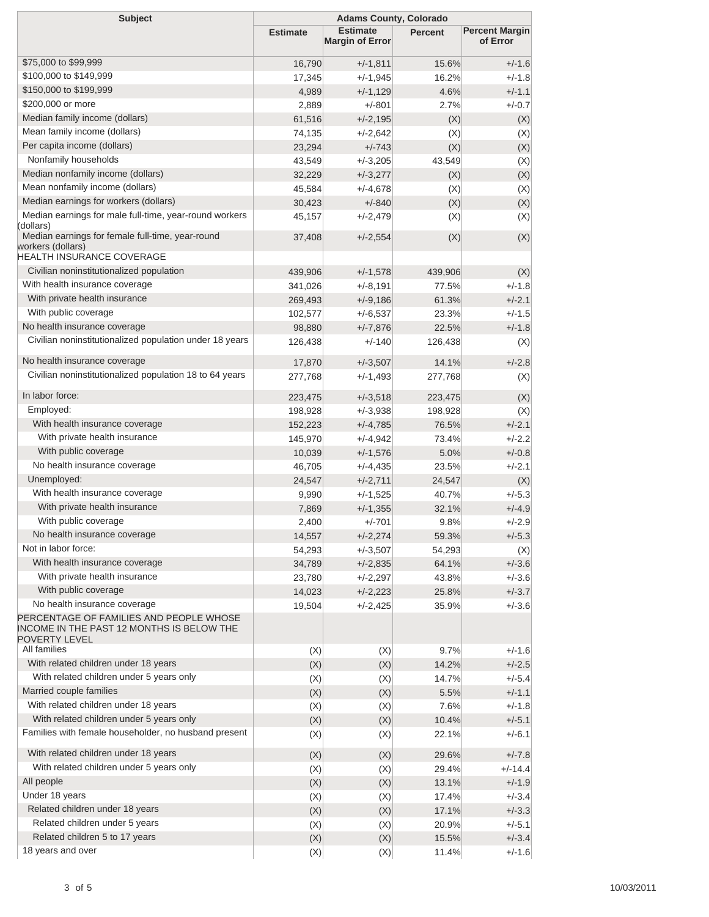| <b>Subject</b>                                                                                                                        |                 | <b>Adams County, Colorado</b>             |                |                                   |
|---------------------------------------------------------------------------------------------------------------------------------------|-----------------|-------------------------------------------|----------------|-----------------------------------|
|                                                                                                                                       | <b>Estimate</b> | <b>Estimate</b><br><b>Margin of Error</b> | <b>Percent</b> | <b>Percent Margin</b><br>of Error |
| \$75,000 to \$99,999                                                                                                                  | 16,790          | $+/-1,811$                                | 15.6%          | $+/-1.6$                          |
| \$100,000 to \$149,999                                                                                                                | 17,345          | $+/-1,945$                                | 16.2%          | $+/-1.8$                          |
| \$150,000 to \$199,999                                                                                                                | 4,989           | $+/-1,129$                                | 4.6%           | $+/-1.1$                          |
| \$200,000 or more                                                                                                                     | 2,889           | $+/-801$                                  | 2.7%           | $+/-0.7$                          |
| Median family income (dollars)                                                                                                        | 61,516          | $+/-2,195$                                | (X)            | (X)                               |
| Mean family income (dollars)                                                                                                          | 74,135          | $+/-2,642$                                | (X)            | (X)                               |
| Per capita income (dollars)                                                                                                           | 23,294          | $+/-743$                                  | (X)            | (X)                               |
| Nonfamily households                                                                                                                  | 43,549          | $+/-3,205$                                | 43,549         | (X)                               |
| Median nonfamily income (dollars)                                                                                                     | 32,229          | $+/-3,277$                                | (X)            | (X)                               |
| Mean nonfamily income (dollars)                                                                                                       | 45,584          | $+/-4,678$                                | (X)            | (X)                               |
| Median earnings for workers (dollars)                                                                                                 | 30,423          | $+/-840$                                  | (X)            | (X)                               |
| Median earnings for male full-time, year-round workers<br>(dollars)                                                                   | 45,157          | $+/-2,479$                                | (X)            | (X)                               |
| Median earnings for female full-time, year-round<br>workers (dollars)<br><b>HEALTH INSURANCE COVERAGE</b>                             | 37,408          | $+/-2,554$                                | (X)            | (X)                               |
| Civilian noninstitutionalized population                                                                                              | 439,906         | $+/-1,578$                                | 439,906        | (X)                               |
| With health insurance coverage                                                                                                        | 341,026         | $+/-8,191$                                | 77.5%          | $+/-1.8$                          |
| With private health insurance                                                                                                         | 269,493         | $+/-9,186$                                | 61.3%          | $+/-2.1$                          |
| With public coverage                                                                                                                  | 102,577         | $+/-6,537$                                | 23.3%          | $+/-1.5$                          |
| No health insurance coverage                                                                                                          | 98,880          | $+/-7,876$                                | 22.5%          | $+/-1.8$                          |
| Civilian noninstitutionalized population under 18 years                                                                               | 126,438         | $+/-140$                                  | 126,438        | (X)                               |
| No health insurance coverage                                                                                                          | 17,870          | $+/-3,507$                                | 14.1%          | $+/-2.8$                          |
| Civilian noninstitutionalized population 18 to 64 years                                                                               | 277,768         | $+/-1,493$                                | 277,768        | (X)                               |
| In labor force:                                                                                                                       | 223,475         | $+/-3,518$                                | 223,475        | (X)                               |
| Employed:                                                                                                                             | 198,928         | $+/-3.938$                                | 198,928        | (X)                               |
| With health insurance coverage                                                                                                        | 152,223         | $+/-4,785$                                | 76.5%          | $+/-2.1$                          |
| With private health insurance                                                                                                         | 145,970         | $+/-4,942$                                | 73.4%          | $+/-2.2$                          |
| With public coverage                                                                                                                  | 10,039          | $+/-1,576$                                | 5.0%           | $+/-0.8$                          |
| No health insurance coverage                                                                                                          | 46,705          | $+/-4,435$                                | 23.5%          | $+/-2.1$                          |
| Unemployed:                                                                                                                           | 24,547          | $+/-2,711$                                | 24,547         | (X)                               |
| With health insurance coverage                                                                                                        | 9,990           | $+/-1,525$                                | 40.7%          | $+/-5.3$                          |
| With private health insurance                                                                                                         | 7,869           | $+/-1,355$                                | 32.1%          | $+/-4.9$                          |
| With public coverage                                                                                                                  | 2,400           | $+/-701$                                  | 9.8%           | $+/-2.9$                          |
| No health insurance coverage                                                                                                          | 14,557          | $+/-2,274$                                | 59.3%          | $+/-5.3$                          |
| Not in labor force:                                                                                                                   | 54,293          | $+/-3,507$                                | 54,293         | (X)                               |
| With health insurance coverage                                                                                                        | 34,789          | $+/-2,835$                                | 64.1%          | $+/-3.6$                          |
| With private health insurance                                                                                                         | 23,780          | $+/-2,297$                                | 43.8%          | $+/-3.6$                          |
| With public coverage                                                                                                                  | 14,023          | $+/-2,223$                                | 25.8%          | $+/-3.7$                          |
| No health insurance coverage<br>PERCENTAGE OF FAMILIES AND PEOPLE WHOSE<br>INCOME IN THE PAST 12 MONTHS IS BELOW THE<br>POVERTY LEVEL | 19,504          | $+/-2,425$                                | 35.9%          | $+/-3.6$                          |
| All families                                                                                                                          | (X)             | (X)                                       | 9.7%           | $+/-1.6$                          |
| With related children under 18 years                                                                                                  | (X)             | (X)                                       | 14.2%          | $+/-2.5$                          |
| With related children under 5 years only                                                                                              | (X)             | (X)                                       | 14.7%          | $+/-5.4$                          |
| Married couple families                                                                                                               | (X)             | (X)                                       | 5.5%           | $+/-1.1$                          |
| With related children under 18 years                                                                                                  | (X)             | (X)                                       | 7.6%           | $+/-1.8$                          |
| With related children under 5 years only                                                                                              | (X)             | (X)                                       | 10.4%          | $+/-5.1$                          |
| Families with female householder, no husband present                                                                                  | (X)             | (X)                                       | 22.1%          | $+/-6.1$                          |
| With related children under 18 years                                                                                                  | (X)             | (X)                                       | 29.6%          | $+/-7.8$                          |
| With related children under 5 years only                                                                                              | (X)             | (X)                                       | 29.4%          | $+/-14.4$                         |
| All people                                                                                                                            | (X)             | (X)                                       | 13.1%          | $+/-1.9$                          |
| Under 18 years                                                                                                                        | (X)             | (X)                                       | 17.4%          | $+/-3.4$                          |
| Related children under 18 years                                                                                                       | (X)             | (X)                                       | 17.1%          | $+/-3.3$                          |
| Related children under 5 years                                                                                                        | (X)             | (X)                                       | 20.9%          | $+/-5.1$                          |
| Related children 5 to 17 years                                                                                                        | (X)             | (X)                                       | 15.5%          | $+/-3.4$                          |
| 18 years and over                                                                                                                     | (X)             | (X)                                       | 11.4%          | $+/-1.6$                          |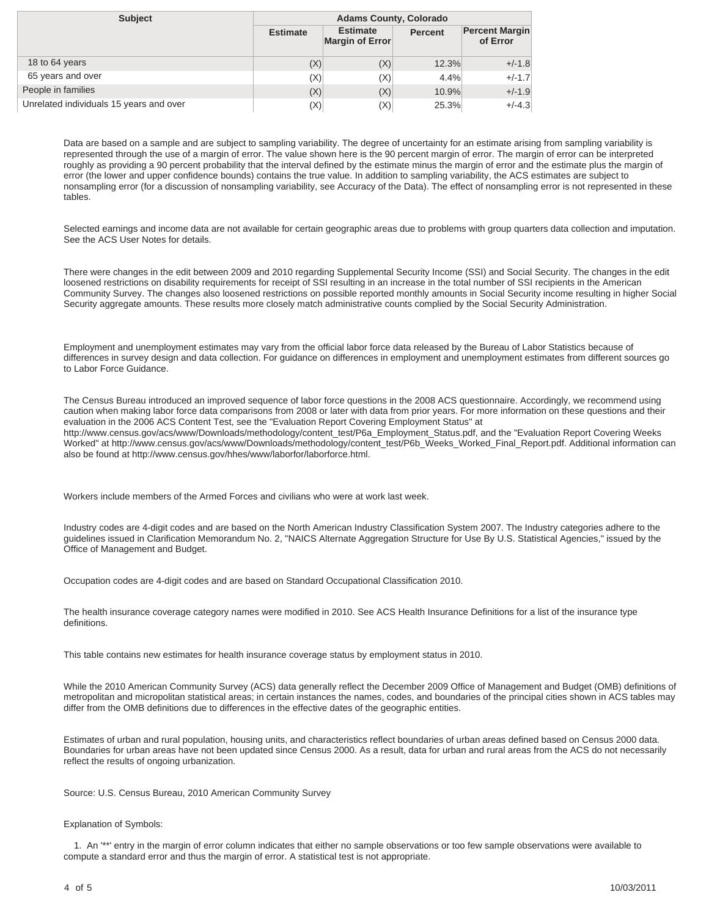| <b>Subject</b>                          | <b>Adams County, Colorado</b> |                                    |                |                                   |
|-----------------------------------------|-------------------------------|------------------------------------|----------------|-----------------------------------|
|                                         | <b>Estimate</b>               | <b>Estimate</b><br>Margin of Error | <b>Percent</b> | <b>Percent Margin</b><br>of Error |
| 18 to 64 years                          | (X)                           | (X)                                | 12.3%          | $+/-1.8$                          |
| 65 years and over                       | (X)                           | (X)                                | 4.4%           | $+/-1.7$                          |
| People in families                      | (X)                           | (X)                                | 10.9%          | $+/-1.9$                          |
| Unrelated individuals 15 years and over | (X)                           | (X)                                | 25.3%          | $+/-4.3$                          |

Data are based on a sample and are subject to sampling variability. The degree of uncertainty for an estimate arising from sampling variability is represented through the use of a margin of error. The value shown here is the 90 percent margin of error. The margin of error can be interpreted roughly as providing a 90 percent probability that the interval defined by the estimate minus the margin of error and the estimate plus the margin of error (the lower and upper confidence bounds) contains the true value. In addition to sampling variability, the ACS estimates are subject to nonsampling error (for a discussion of nonsampling variability, see Accuracy of the Data). The effect of nonsampling error is not represented in these tables.

Selected earnings and income data are not available for certain geographic areas due to problems with group quarters data collection and imputation. See the ACS User Notes for details.

There were changes in the edit between 2009 and 2010 regarding Supplemental Security Income (SSI) and Social Security. The changes in the edit loosened restrictions on disability requirements for receipt of SSI resulting in an increase in the total number of SSI recipients in the American Community Survey. The changes also loosened restrictions on possible reported monthly amounts in Social Security income resulting in higher Social Security aggregate amounts. These results more closely match administrative counts complied by the Social Security Administration.

Employment and unemployment estimates may vary from the official labor force data released by the Bureau of Labor Statistics because of differences in survey design and data collection. For guidance on differences in employment and unemployment estimates from different sources go to Labor Force Guidance.

The Census Bureau introduced an improved sequence of labor force questions in the 2008 ACS questionnaire. Accordingly, we recommend using caution when making labor force data comparisons from 2008 or later with data from prior years. For more information on these questions and their evaluation in the 2006 ACS Content Test, see the "Evaluation Report Covering Employment Status" at http://www.census.gov/acs/www/Downloads/methodology/content\_test/P6a\_Employment\_Status.pdf, and the "Evaluation Report Covering Weeks Worked" at http://www.census.gov/acs/www/Downloads/methodology/content\_test/P6b\_Weeks\_Worked\_Final\_Report.pdf. Additional information can also be found at http://www.census.gov/hhes/www/laborfor/laborforce.html.

Workers include members of the Armed Forces and civilians who were at work last week.

Industry codes are 4-digit codes and are based on the North American Industry Classification System 2007. The Industry categories adhere to the guidelines issued in Clarification Memorandum No. 2, "NAICS Alternate Aggregation Structure for Use By U.S. Statistical Agencies," issued by the Office of Management and Budget.

Occupation codes are 4-digit codes and are based on Standard Occupational Classification 2010.

The health insurance coverage category names were modified in 2010. See ACS Health Insurance Definitions for a list of the insurance type definitions.

This table contains new estimates for health insurance coverage status by employment status in 2010.

While the 2010 American Community Survey (ACS) data generally reflect the December 2009 Office of Management and Budget (OMB) definitions of metropolitan and micropolitan statistical areas; in certain instances the names, codes, and boundaries of the principal cities shown in ACS tables may differ from the OMB definitions due to differences in the effective dates of the geographic entities.

Estimates of urban and rural population, housing units, and characteristics reflect boundaries of urban areas defined based on Census 2000 data. Boundaries for urban areas have not been updated since Census 2000. As a result, data for urban and rural areas from the ACS do not necessarily reflect the results of ongoing urbanization.

Source: U.S. Census Bureau, 2010 American Community Survey

### Explanation of Symbols:

 1. An '\*\*' entry in the margin of error column indicates that either no sample observations or too few sample observations were available to compute a standard error and thus the margin of error. A statistical test is not appropriate.